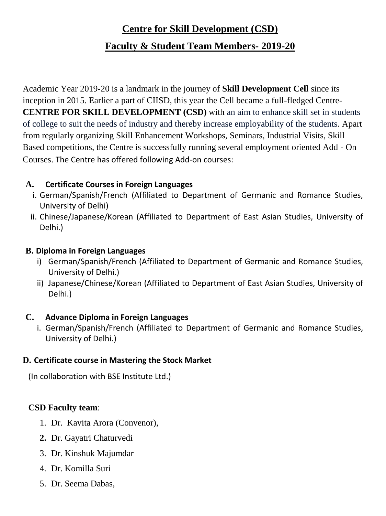# **Centre for Skill Development (CSD)**

## **Faculty & Student Team Members- 2019-20**

Academic Year 2019-20 is a landmark in the journey of **Skill Development Cell** since its inception in 2015. Earlier a part of CIISD, this year the Cell became a full-fledged Centre-**CENTRE FOR SKILL DEVELOPMENT (CSD)** with an aim to enhance skill set in students of college to suit the needs of industry and thereby increase employability of the students. Apart from regularly organizing Skill Enhancement Workshops, Seminars, Industrial Visits, Skill Based competitions, the Centre is successfully running several employment oriented Add - On Courses. The Centre has offered following Add-on courses:

### **A. Certificate Courses in Foreign Languages**

- i. German/Spanish/French (Affiliated to Department of Germanic and Romance Studies, University of Delhi)
- ii. Chinese/Japanese/Korean (Affiliated to Department of East Asian Studies, University of Delhi.)

#### **B. Diploma in Foreign Languages**

- i) German/Spanish/French (Affiliated to Department of Germanic and Romance Studies, University of Delhi.)
- ii) Japanese/Chinese/Korean (Affiliated to Department of East Asian Studies, University of Delhi.)

#### **C. Advance Diploma in Foreign Languages**

i. German/Spanish/French (Affiliated to Department of Germanic and Romance Studies, University of Delhi.)

#### **D. Certificate course in Mastering the Stock Market**

(In collaboration with BSE Institute Ltd.)

#### **CSD Faculty team**:

- 1. Dr. Kavita Arora (Convenor),
- **2.** Dr. Gayatri Chaturvedi
- 3. Dr. Kinshuk Majumdar
- 4. Dr. Komilla Suri
- 5. Dr. Seema Dabas,